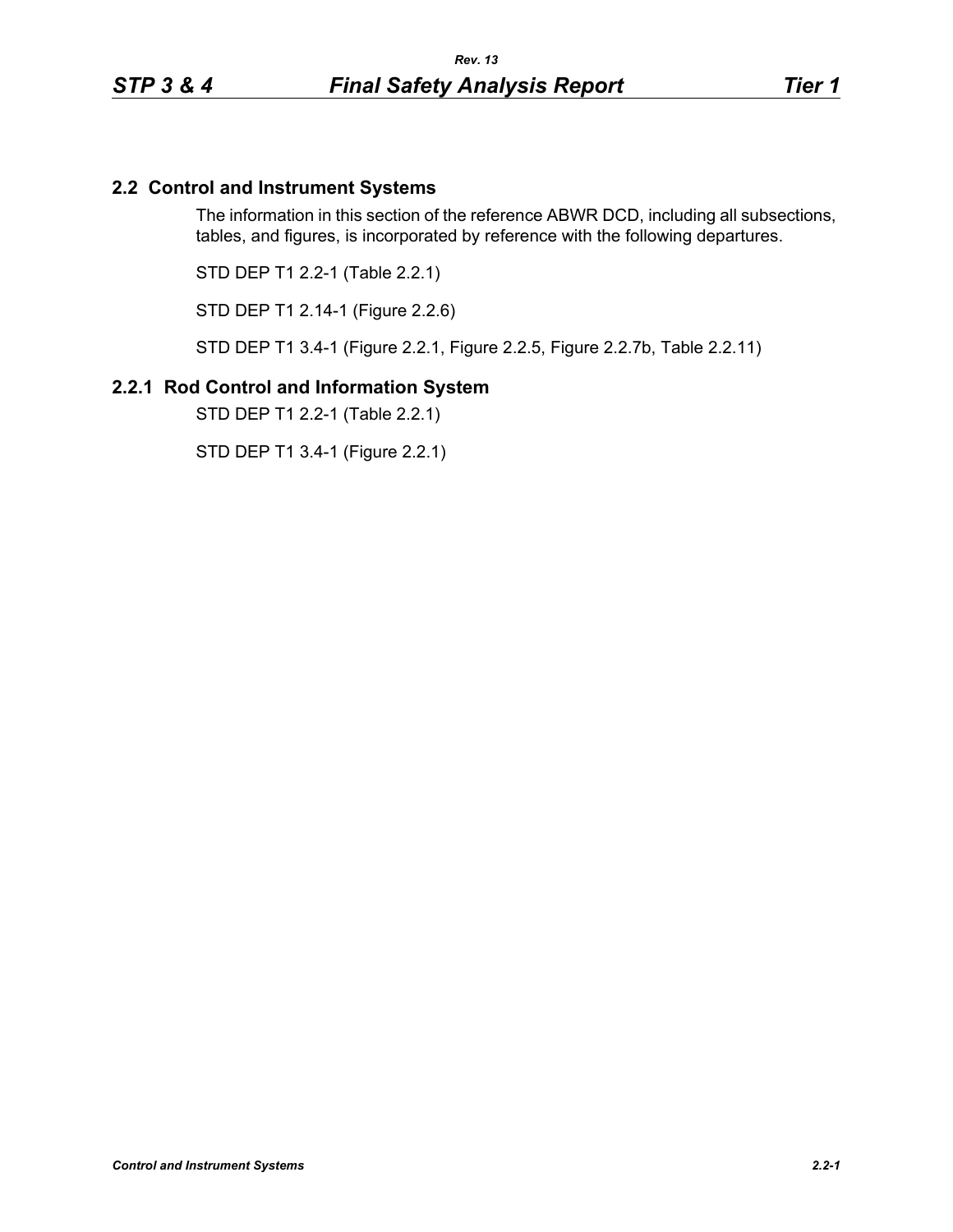# **2.2 Control and Instrument Systems**

The information in this section of the reference ABWR DCD, including all subsections, tables, and figures, is incorporated by reference with the following departures.

STD DEP T1 2.2-1 (Table 2.2.1)

STD DEP T1 2.14-1 (Figure 2.2.6)

STD DEP T1 3.4-1 (Figure 2.2.1, Figure 2.2.5, Figure 2.2.7b, Table 2.2.11)

### **2.2.1 Rod Control and Information System**

STD DEP T1 2.2-1 (Table 2.2.1)

STD DEP T1 3.4-1 (Figure 2.2.1)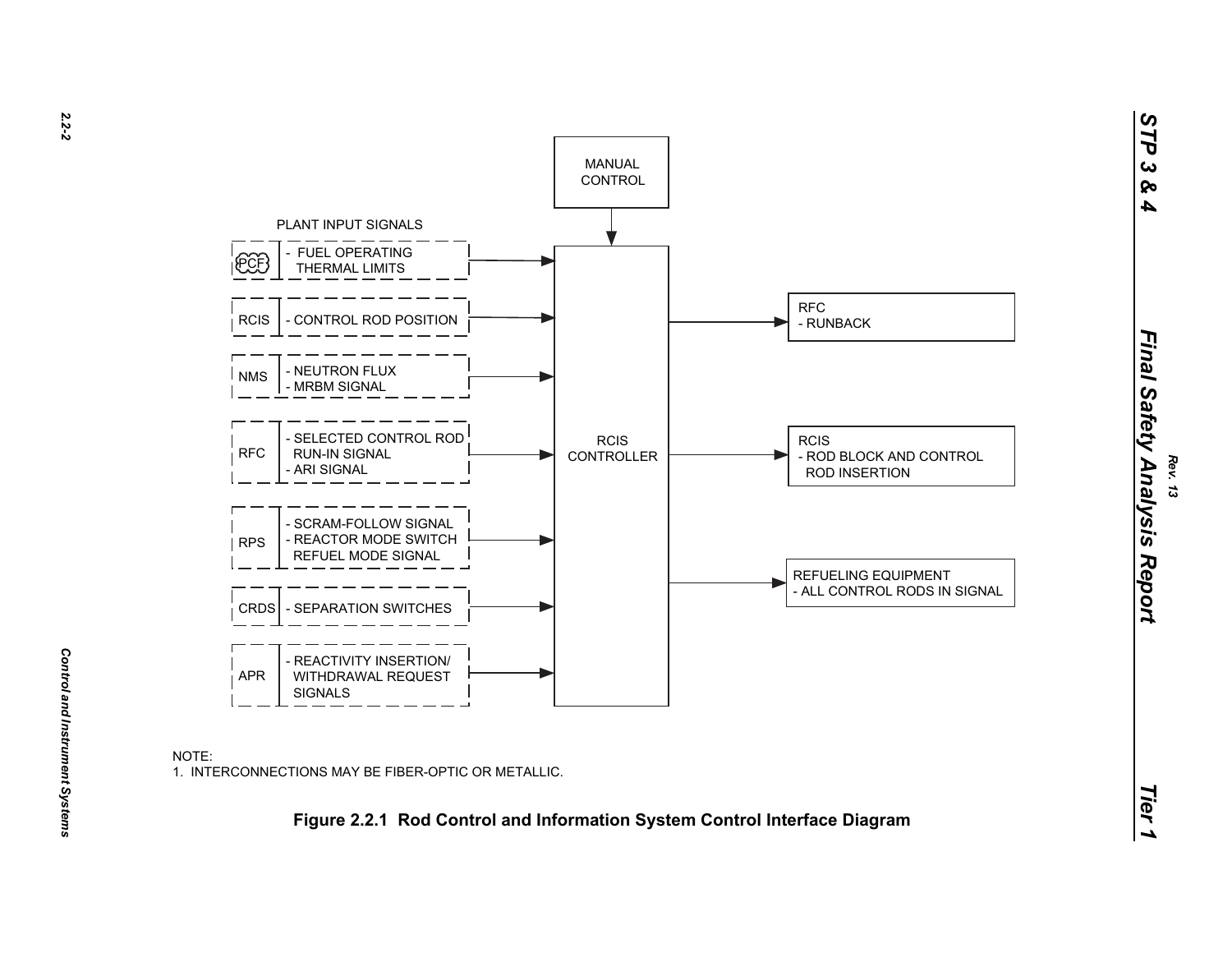

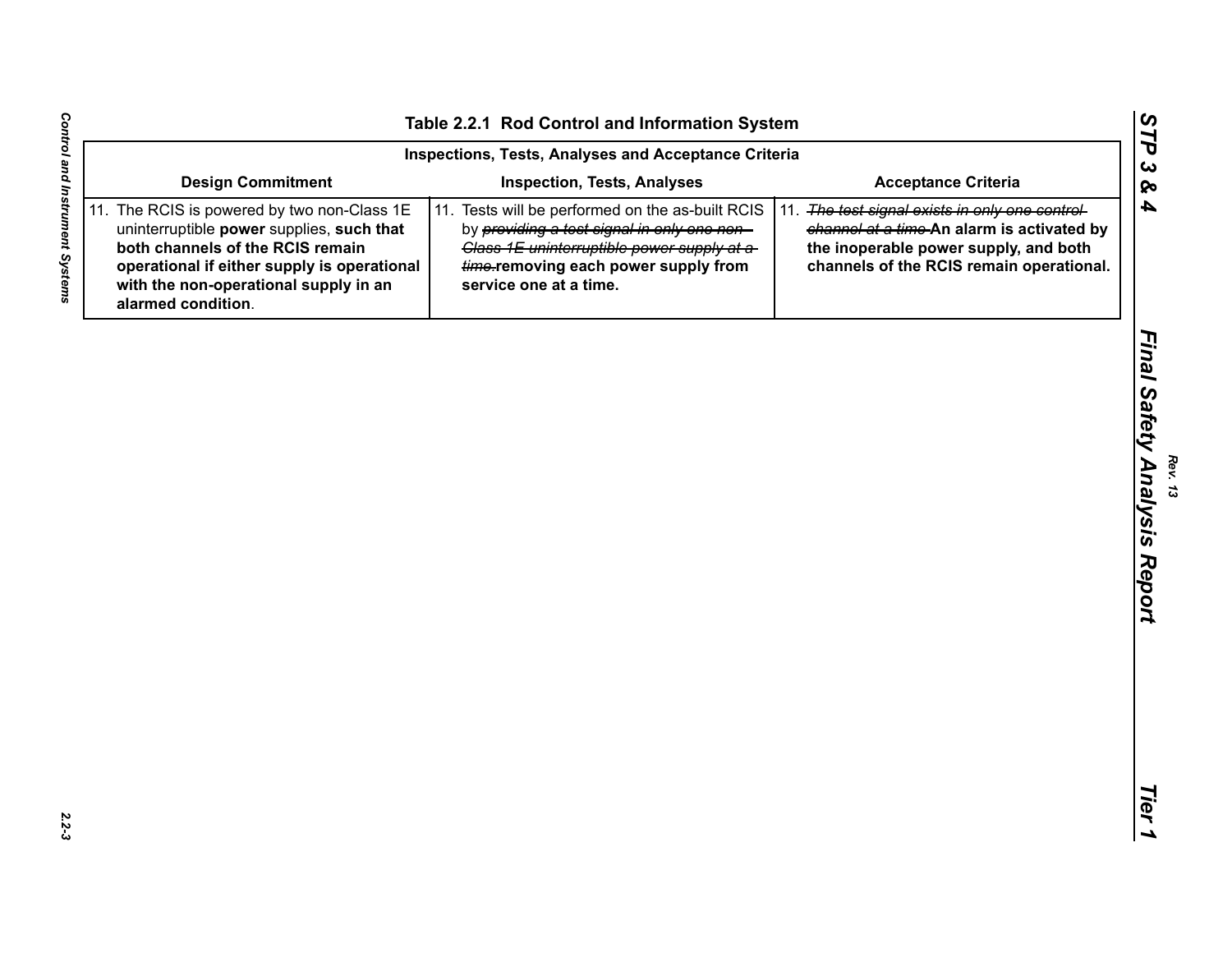| <b>Design Commitment</b><br><b>Inspection, Tests, Analyses</b><br><b>Acceptance Criteria</b><br>11. The RCIS is powered by two non-Class 1E<br>11. Tests will be performed on the as-built RCIS<br>11. The test signal exists in only one control-<br>uninterruptible power supplies, such that<br>by providing a test signal in only one non-<br>channel at a time-An alarm is activated by<br>both channels of the RCIS remain<br>Class 1E uninterruptible power supply at a-<br>the inoperable power supply, and both<br>operational if either supply is operational<br>time-removing each power supply from<br>channels of the RCIS remain operational.<br>with the non-operational supply in an<br>service one at a time.<br>alarmed condition. |
|------------------------------------------------------------------------------------------------------------------------------------------------------------------------------------------------------------------------------------------------------------------------------------------------------------------------------------------------------------------------------------------------------------------------------------------------------------------------------------------------------------------------------------------------------------------------------------------------------------------------------------------------------------------------------------------------------------------------------------------------------|
|                                                                                                                                                                                                                                                                                                                                                                                                                                                                                                                                                                                                                                                                                                                                                      |
|                                                                                                                                                                                                                                                                                                                                                                                                                                                                                                                                                                                                                                                                                                                                                      |
|                                                                                                                                                                                                                                                                                                                                                                                                                                                                                                                                                                                                                                                                                                                                                      |
|                                                                                                                                                                                                                                                                                                                                                                                                                                                                                                                                                                                                                                                                                                                                                      |
|                                                                                                                                                                                                                                                                                                                                                                                                                                                                                                                                                                                                                                                                                                                                                      |
|                                                                                                                                                                                                                                                                                                                                                                                                                                                                                                                                                                                                                                                                                                                                                      |
|                                                                                                                                                                                                                                                                                                                                                                                                                                                                                                                                                                                                                                                                                                                                                      |
|                                                                                                                                                                                                                                                                                                                                                                                                                                                                                                                                                                                                                                                                                                                                                      |
|                                                                                                                                                                                                                                                                                                                                                                                                                                                                                                                                                                                                                                                                                                                                                      |

 $2.2 - 3$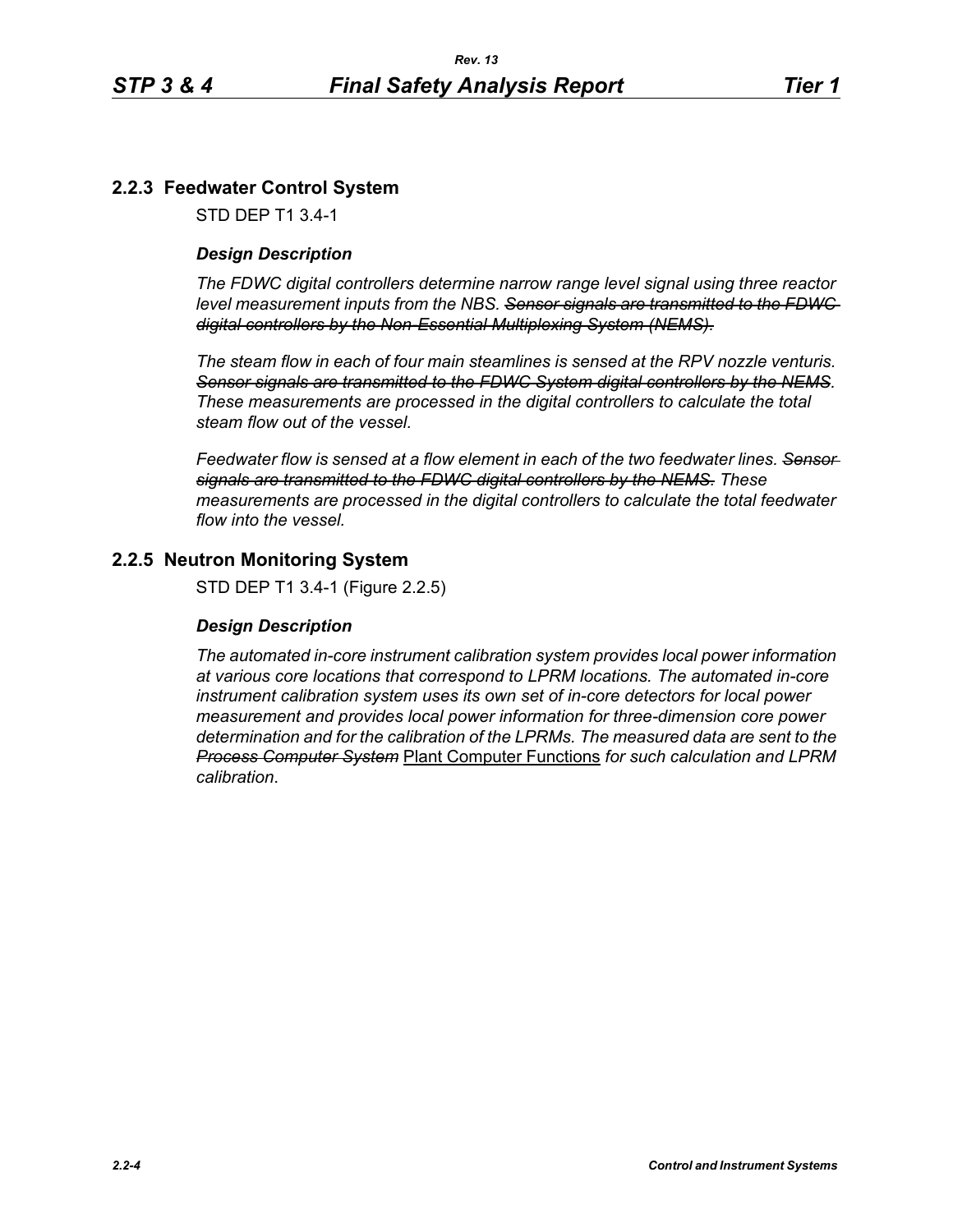# **2.2.3 Feedwater Control System**

STD DEP T1 3.4-1

# *Design Description*

*The FDWC digital controllers determine narrow range level signal using three reactor level measurement inputs from the NBS. Sensor signals are transmitted to the FDWC digital controllers by the Non-Essential Multiplexing System (NEMS).*

*The steam flow in each of four main steamlines is sensed at the RPV nozzle venturis. Sensor signals are transmitted to the FDWC System digital controllers by the NEMS. These measurements are processed in the digital controllers to calculate the total steam flow out of the vessel.*

*Feedwater flow is sensed at a flow element in each of the two feedwater lines. Sensor signals are transmitted to the FDWC digital controllers by the NEMS. These measurements are processed in the digital controllers to calculate the total feedwater flow into the vessel.*

# **2.2.5 Neutron Monitoring System**

STD DEP T1 3.4-1 (Figure 2.2.5)

### *Design Description*

*The automated in-core instrument calibration system provides local power information at various core locations that correspond to LPRM locations. The automated in-core instrument calibration system uses its own set of in-core detectors for local power measurement and provides local power information for three-dimension core power determination and for the calibration of the LPRMs. The measured data are sent to the Process Computer System* Plant Computer Functions *for such calculation and LPRM calibration*.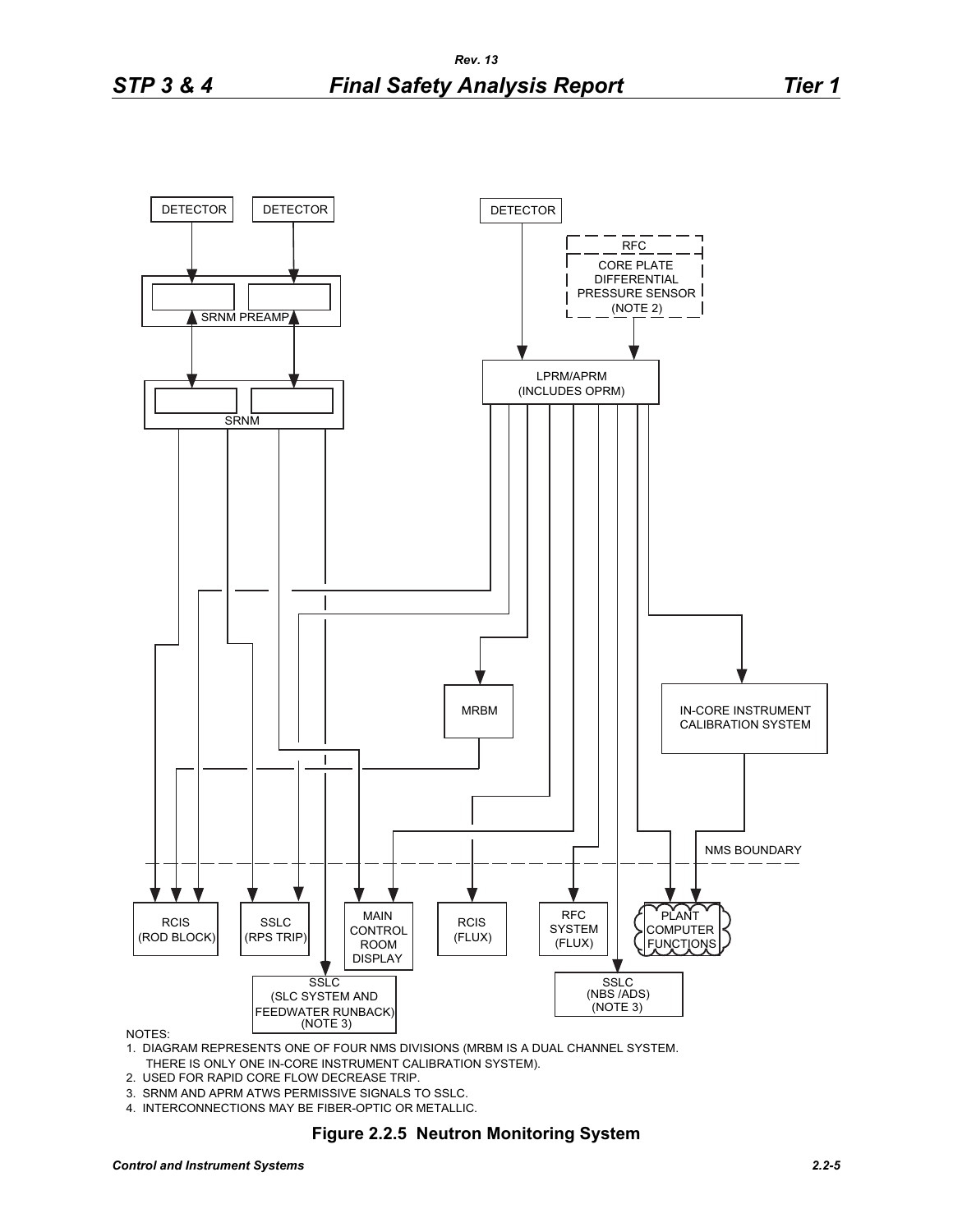

#### NOTES:

1. DIAGRAM REPRESENTS ONE OF FOUR NMS DIVISIONS (MRBM IS A DUAL CHANNEL SYSTEM. THERE IS ONLY ONE IN-CORE INSTRUMENT CALIBRATION SYSTEM).

- 2. USED FOR RAPID CORE FLOW DECREASE TRIP.
- 3. SRNM AND APRM ATWS PERMISSIVE SIGNALS TO SSLC.
- 4. INTERCONNECTIONS MAY BE FIBER-OPTIC OR METALLIC.

#### **Figure 2.2.5 Neutron Monitoring System**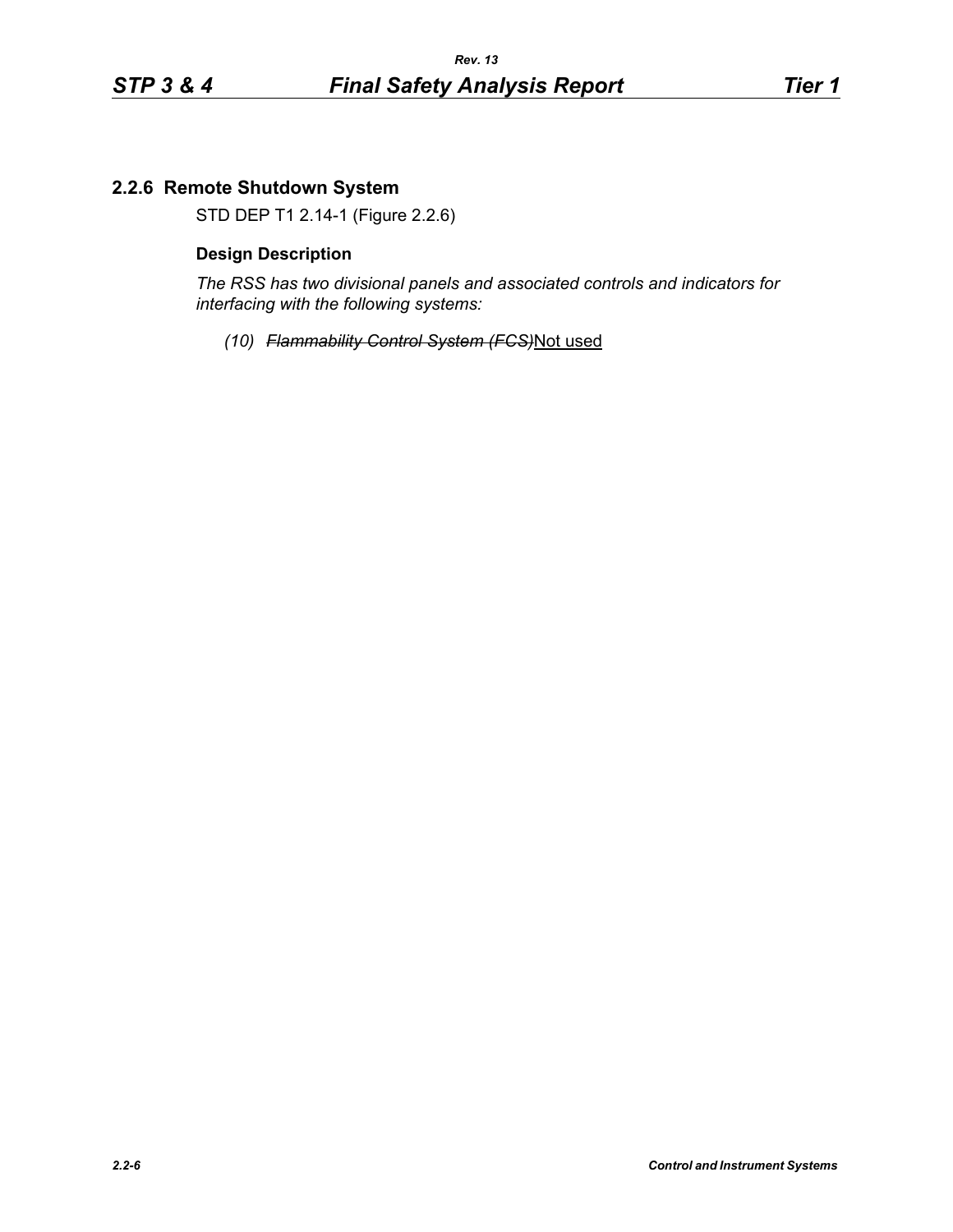# **2.2.6 Remote Shutdown System**

STD DEP T1 2.14-1 (Figure 2.2.6)

#### **Design Description**

*The RSS has two divisional panels and associated controls and indicators for interfacing with the following systems:*

*(10) Flammability Control System (FCS)*Not used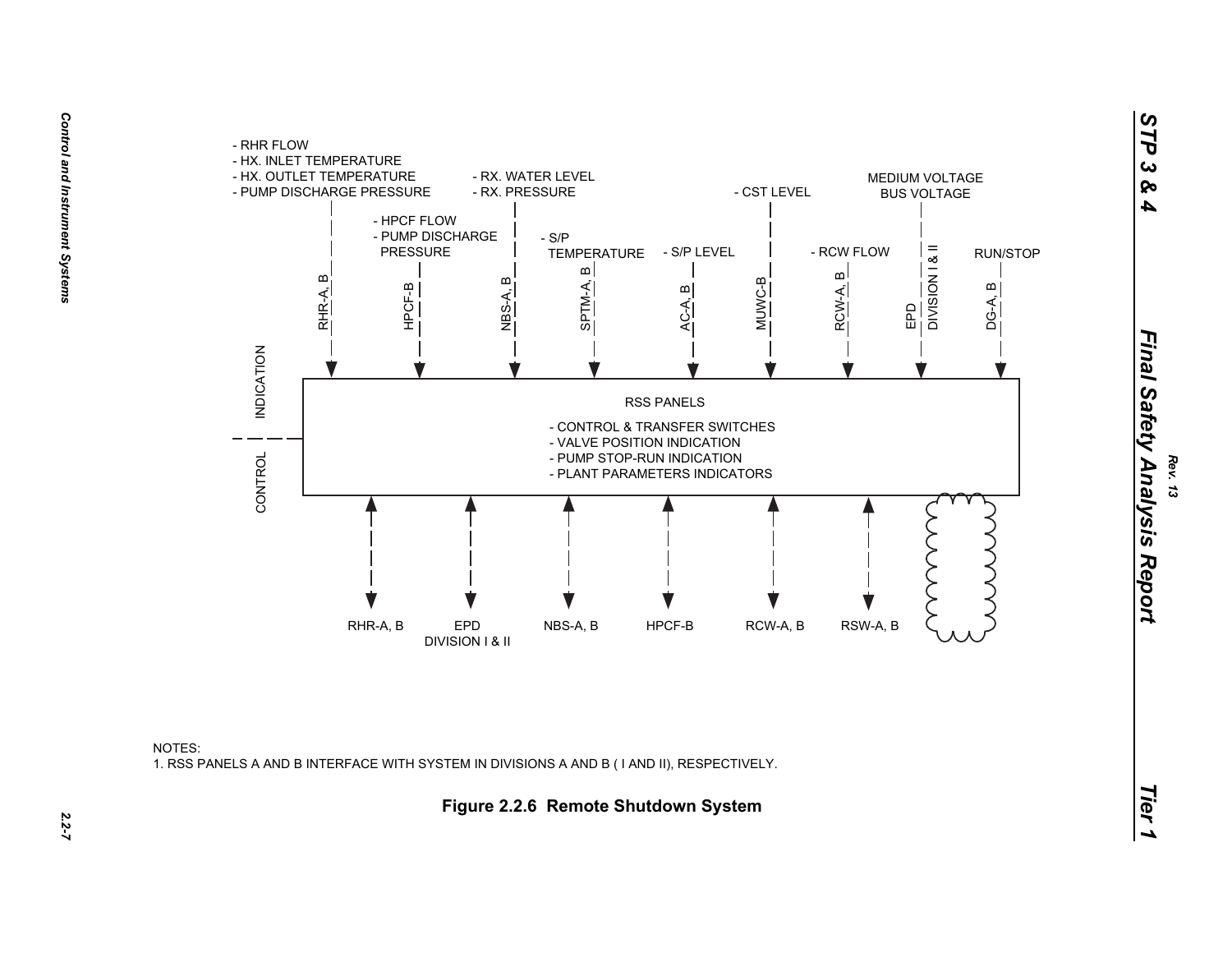

NOTES:1. RSS PANELS A AND B INTERFACE WITH SYSTEM IN DIVISIONS A AND B ( I AND II), RESPECTIVELY.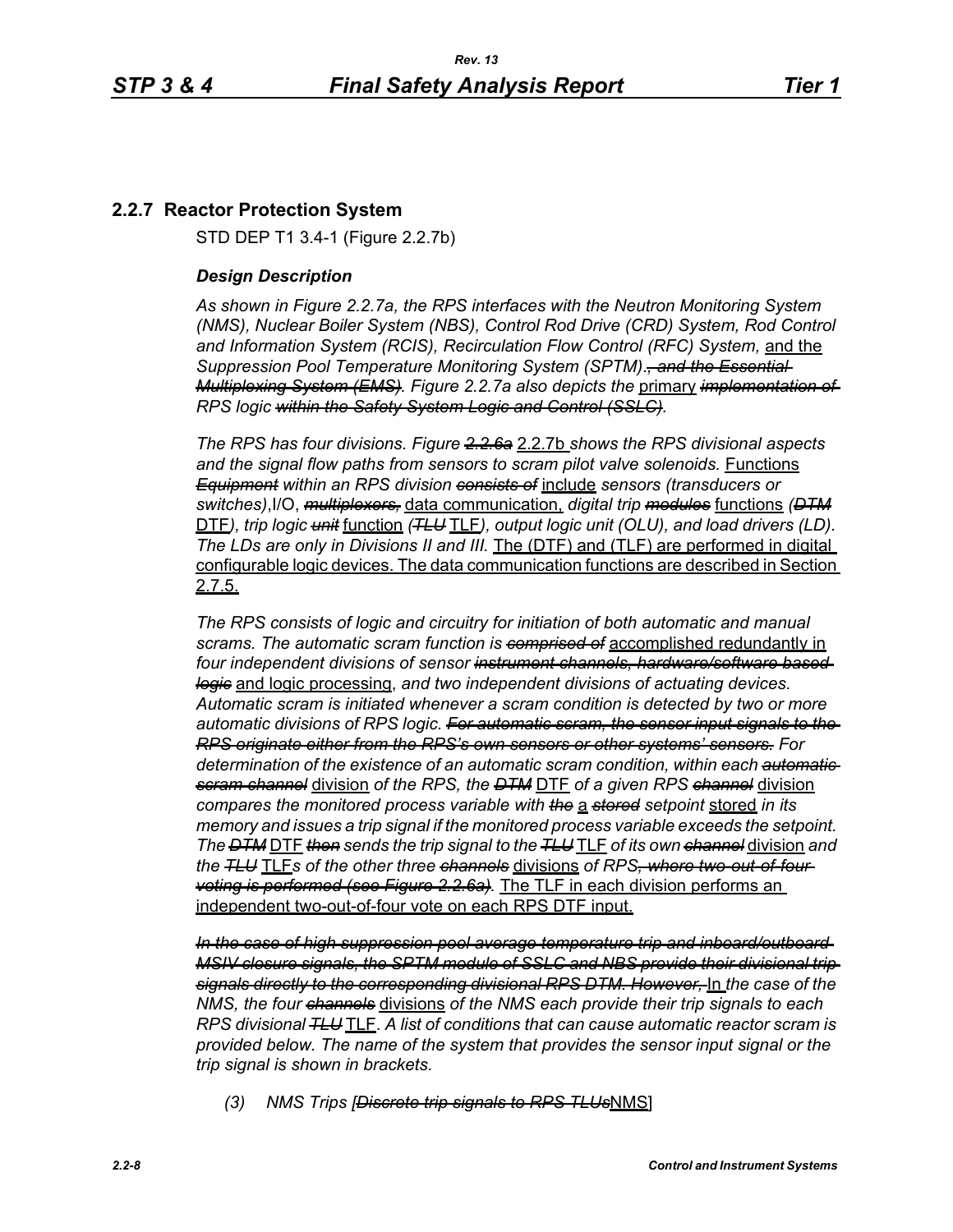# **2.2.7 Reactor Protection System**

STD DEP T1 3.4-1 (Figure 2.2.7b)

## *Design Description*

*As shown in Figure 2.2.7a, the RPS interfaces with the Neutron Monitoring System (NMS), Nuclear Boiler System (NBS), Control Rod Drive (CRD) System, Rod Control and Information System (RCIS), Recirculation Flow Control (RFC) System,* and the *Suppression Pool Temperature Monitoring System (SPTM)*.*, and the Essential Multiplexing System (EMS). Figure 2.2.7a also depicts the* primary *implementation of RPS logic within the Safety System Logic and Control (SSLC).*

*The RPS has four divisions. Figure 2.2.6a* 2.2.7b *shows the RPS divisional aspects and the signal flow paths from sensors to scram pilot valve solenoids.* Functions *Equipment within an RPS division consists of* include *sensors (transducers or switches)*,I/O, *multiplexers,* data communication, *digital trip modules* functions *(DTM* DTF*), trip logic unit* function *(TLU* TLF*), output logic unit (OLU), and load drivers (LD). The LDs are only in Divisions II and III.* The (DTF) and (TLF) are performed in digital configurable logic devices. The data communication functions are described in Section 2.7.5.

*The RPS consists of logic and circuitry for initiation of both automatic and manual scrams. The automatic scram function is comprised of* accomplished redundantly in *four independent divisions of sensor instrument channels, hardware/software based logic* and logic processing, *and two independent divisions of actuating devices. Automatic scram is initiated whenever a scram condition is detected by two or more automatic divisions of RPS logic. For automatic scram, the sensor input signals to the RPS originate either from the RPS's own sensors or other systems' sensors. For determination of the existence of an automatic scram condition, within each automatic scram channel* division *of the RPS, the DTM* DTF *of a given RPS channel* division *compares the monitored process variable with the* a *stored setpoint* stored *in its memory and issues a trip signal if the monitored process variable exceeds the setpoint. The DTM* DTF *then sends the trip signal to the TLU* TLF *of its own channel* division *and the TLU* TLF*s of the other three channels* divisions *of RPS, where two-out-of-four voting is performed (see Figure 2.2.6a).* The TLF in each division performs an independent two-out-of-four vote on each RPS DTF input.

*In the case of high suppression pool average temperature trip and inboard/outboard MSIV closure signals, the SPTM module of SSLC and NBS provide their divisional trip signals directly to the corresponding divisional RPS DTM. However,* In *the case of the NMS, the four channels* divisions *of the NMS each provide their trip signals to each RPS divisional TLU* TLF. *A list of conditions that can cause automatic reactor scram is provided below. The name of the system that provides the sensor input signal or the trip signal is shown in brackets.*

*(3) NMS Trips [Discrete trip signals to RPS TLUs*NMS]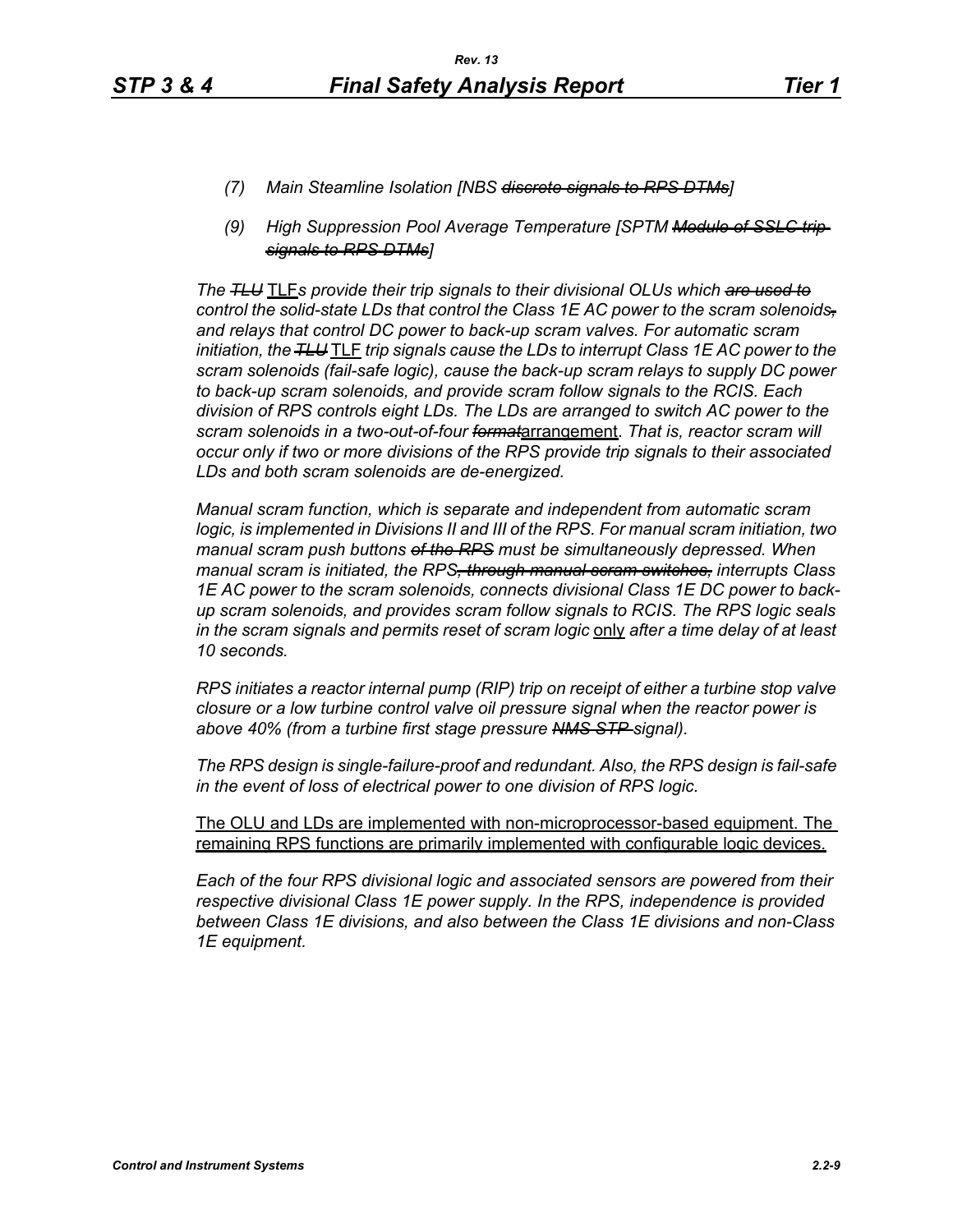- *(7) Main Steamline Isolation [NBS discrete signals to RPS DTMs]*
- *(9) High Suppression Pool Average Temperature [SPTM Module of SSLC trip signals to RPS DTMs]*

*The TLU* TLF*s provide their trip signals to their divisional OLUs which are used to control the solid-state LDs that control the Class 1E AC power to the scram solenoids, and relays that control DC power to back-up scram valves. For automatic scram initiation, the TLU* TLF *trip signals cause the LDs to interrupt Class 1E AC power to the scram solenoids (fail-safe logic), cause the back-up scram relays to supply DC power to back-up scram solenoids, and provide scram follow signals to the RCIS. Each division of RPS controls eight LDs. The LDs are arranged to switch AC power to the scram solenoids in a two-out-of-four format*arrangement. *That is, reactor scram will occur only if two or more divisions of the RPS provide trip signals to their associated LDs and both scram solenoids are de-energized.*

*Manual scram function, which is separate and independent from automatic scram logic, is implemented in Divisions II and III of the RPS. For manual scram initiation, two manual scram push buttons of the RPS must be simultaneously depressed. When manual scram is initiated, the RPS, through manual scram switches, interrupts Class 1E AC power to the scram solenoids, connects divisional Class 1E DC power to backup scram solenoids, and provides scram follow signals to RCIS. The RPS logic seals in the scram signals and permits reset of scram logic* only *after a time delay of at least 10 seconds.*

*RPS initiates a reactor internal pump (RIP) trip on receipt of either a turbine stop valve closure or a low turbine control valve oil pressure signal when the reactor power is above 40% (from a turbine first stage pressure NMS STP signal).*

*The RPS design is single-failure-proof and redundant. Also, the RPS design is fail-safe in the event of loss of electrical power to one division of RPS logic.*

The OLU and LDs are implemented with non-microprocessor-based equipment. The remaining RPS functions are primarily implemented with configurable logic devices.

*Each of the four RPS divisional logic and associated sensors are powered from their respective divisional Class 1E power supply. In the RPS, independence is provided between Class 1E divisions, and also between the Class 1E divisions and non-Class 1E equipment.*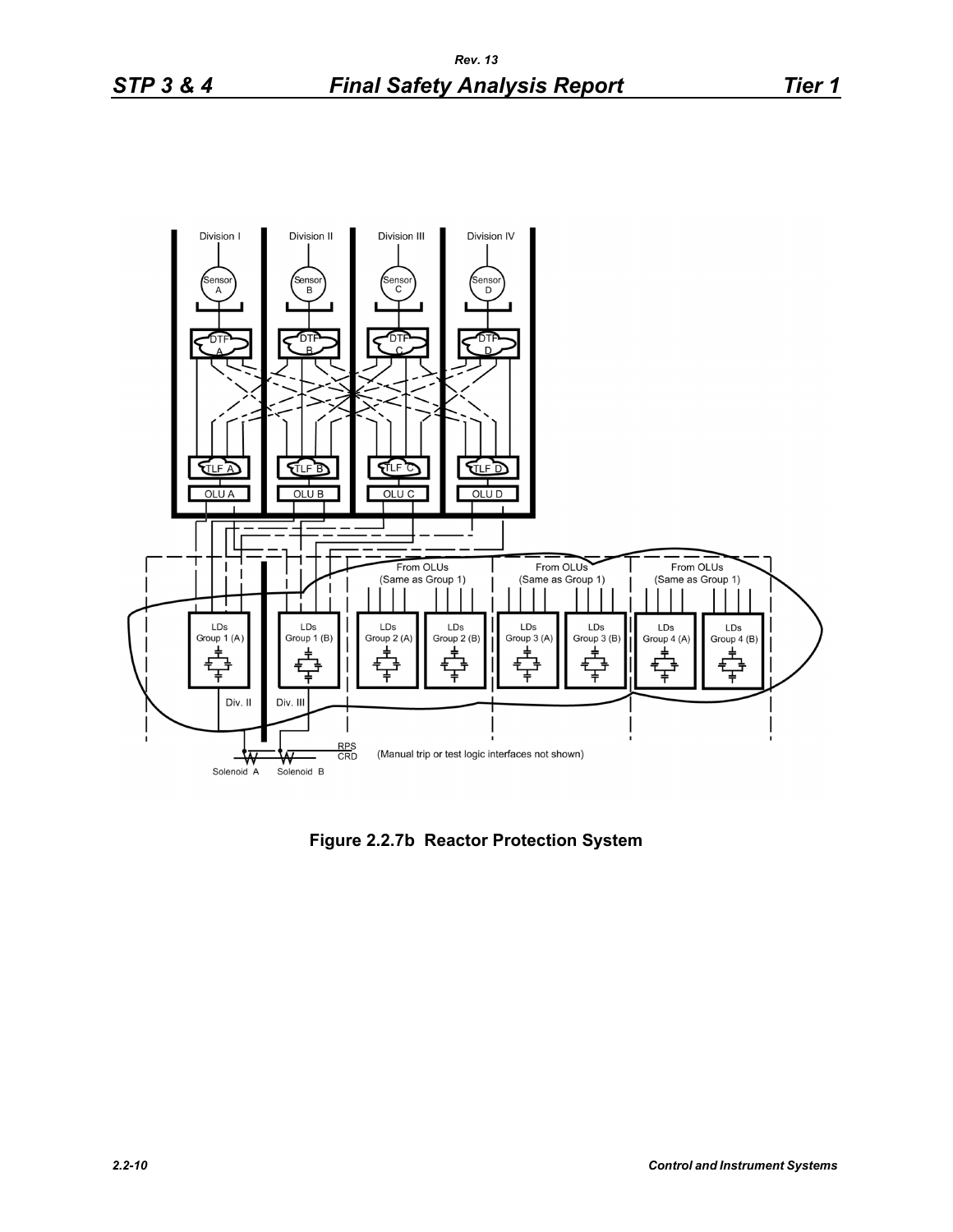

**Figure 2.2.7b Reactor Protection System**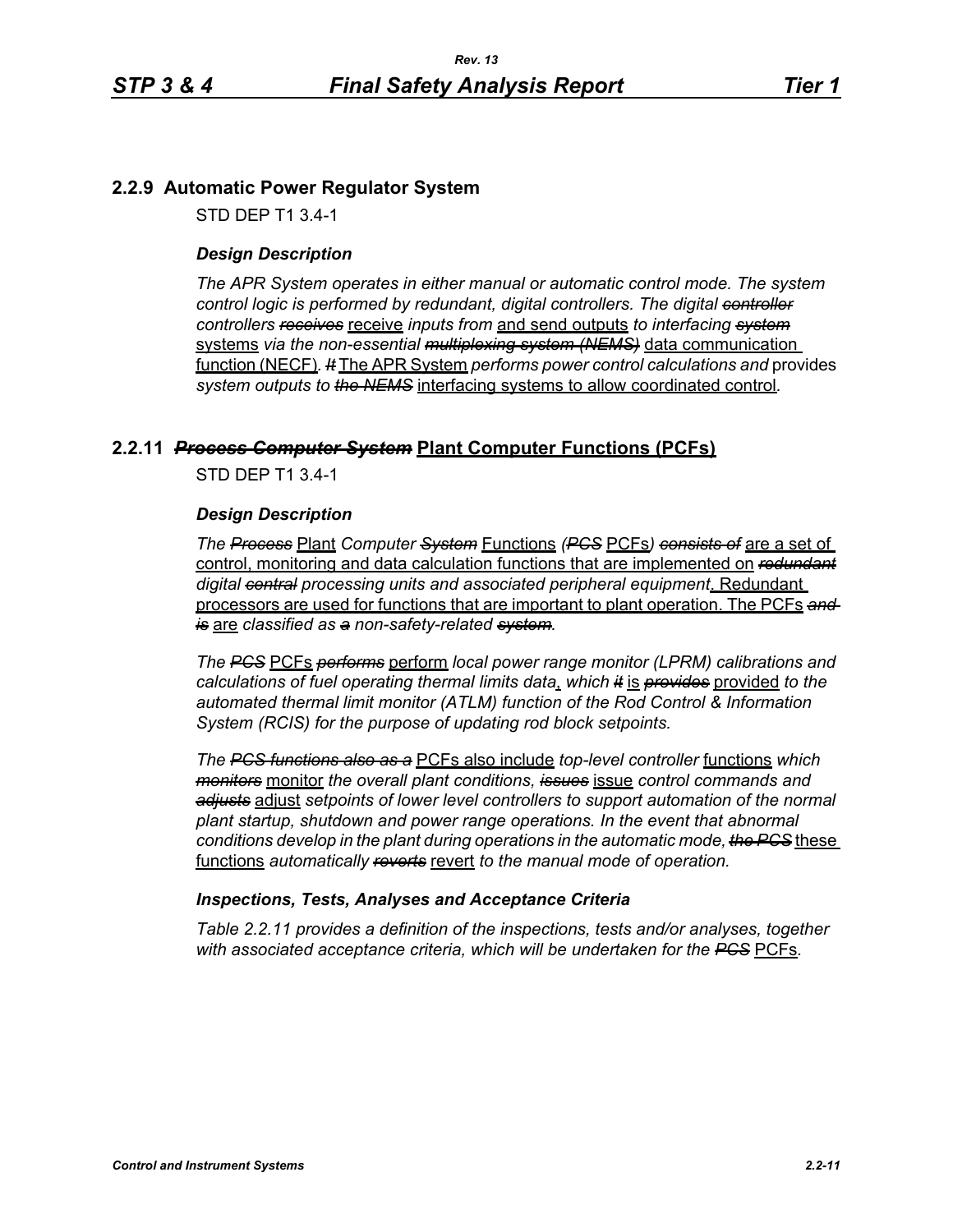# **2.2.9 Automatic Power Regulator System**

STD DEP T1 3.4-1

### *Design Description*

*The APR System operates in either manual or automatic control mode. The system control logic is performed by redundant, digital controllers. The digital controller controllers receives* receive *inputs from* and send outputs *to interfacing system* systems *via the non-essential multiplexing system (NEMS)* data communication function (NECF)*. It* The APR System *performs power control calculations and* provides *system outputs to the NEMS* interfacing systems to allow coordinated control*.*

# **2.2.11** *Process Computer System* **Plant Computer Functions (PCFs)**

STD DEP T1 3.4-1

#### *Design Description*

*The Process* Plant *Computer System* Functions *(PCS* PCFs*) consists of* are a set of control, monitoring and data calculation functions that are implemented on *redundant digital central processing units and associated peripheral equipment*. Redundant processors are used for functions that are important to plant operation. The PCFs *and is* are *classified as a non-safety-related system.*

*The PCS* PCFs *performs* perform *local power range monitor (LPRM) calibrations and calculations of fuel operating thermal limits data*, *which it* is *provides* provided *to the automated thermal limit monitor (ATLM) function of the Rod Control & Information System (RCIS) for the purpose of updating rod block setpoints.*

*The PCS functions also as a* PCFs also include *top-level controller* functions *which monitors* monitor *the overall plant conditions, issues* issue *control commands and adjusts* adjust *setpoints of lower level controllers to support automation of the normal plant startup, shutdown and power range operations. In the event that abnormal conditions develop in the plant during operations in the automatic mode, the PCS* these functions *automatically reverts* revert *to the manual mode of operation.*

#### *Inspections, Tests, Analyses and Acceptance Criteria*

*Table 2.2.11 provides a definition of the inspections, tests and/or analyses, together with associated acceptance criteria, which will be undertaken for the PCS* PCFs*.*